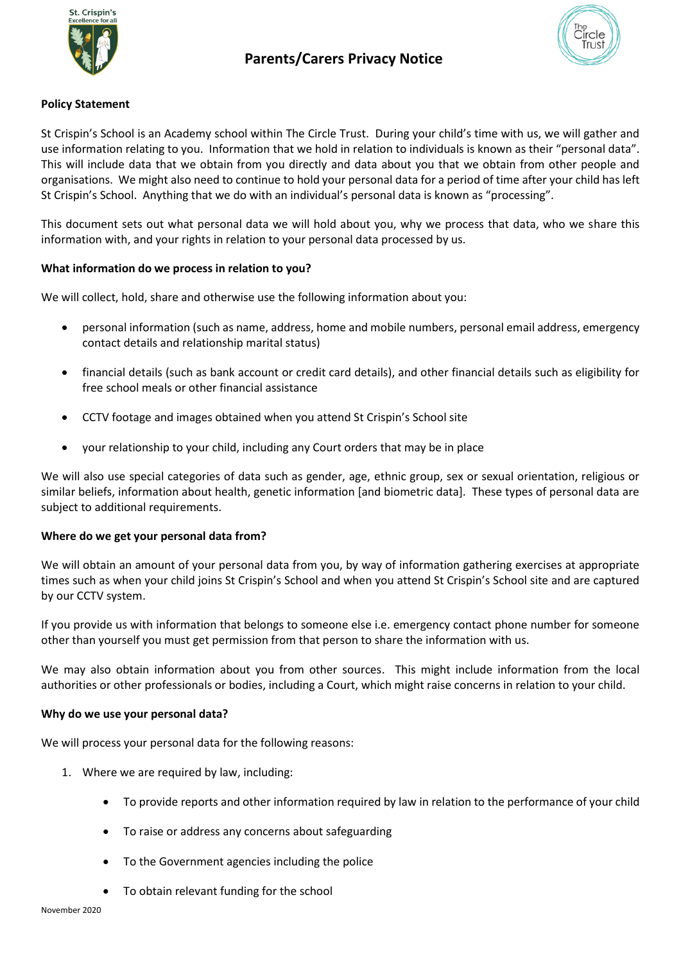

# **Policy Statement**

St Crispin's School is an Academy school within The Circle Trust. During your child's time with us, we will gather and use information relating to you. Information that we hold in relation to individuals is known as their "personal data". This will include data that we obtain from you directly and data about you that we obtain from other people and organisations. We might also need to continue to hold your personal data for a period of time after your child has left St Crispin's School. Anything that we do with an individual's personal data is known as "processing".

This document sets out what personal data we will hold about you, why we process that data, who we share this information with, and your rights in relation to your personal data processed by us.

## **What information do we process in relation to you?**

We will collect, hold, share and otherwise use the following information about you:

- personal information (such as name, address, home and mobile numbers, personal email address, emergency contact details and relationship marital status)
- financial details (such as bank account or credit card details), and other financial details such as eligibility for free school meals or other financial assistance
- CCTV footage and images obtained when you attend St Crispin's School site
- your relationship to your child, including any Court orders that may be in place

We will also use special categories of data such as gender, age, ethnic group, sex or sexual orientation, religious or similar beliefs, information about health, genetic information [and biometric data]. These types of personal data are subject to additional requirements.

#### **Where do we get your personal data from?**

We will obtain an amount of your personal data from you, by way of information gathering exercises at appropriate times such as when your child joins St Crispin's School and when you attend St Crispin's School site and are captured by our CCTV system.

If you provide us with information that belongs to someone else i.e. emergency contact phone number for someone other than yourself you must get permission from that person to share the information with us.

We may also obtain information about you from other sources. This might include information from the local authorities or other professionals or bodies, including a Court, which might raise concerns in relation to your child.

#### **Why do we use your personal data?**

We will process your personal data for the following reasons:

- 1. Where we are required by law, including:
	- To provide reports and other information required by law in relation to the performance of your child
	- To raise or address any concerns about safeguarding
	- To the Government agencies including the police
	- To obtain relevant funding for the school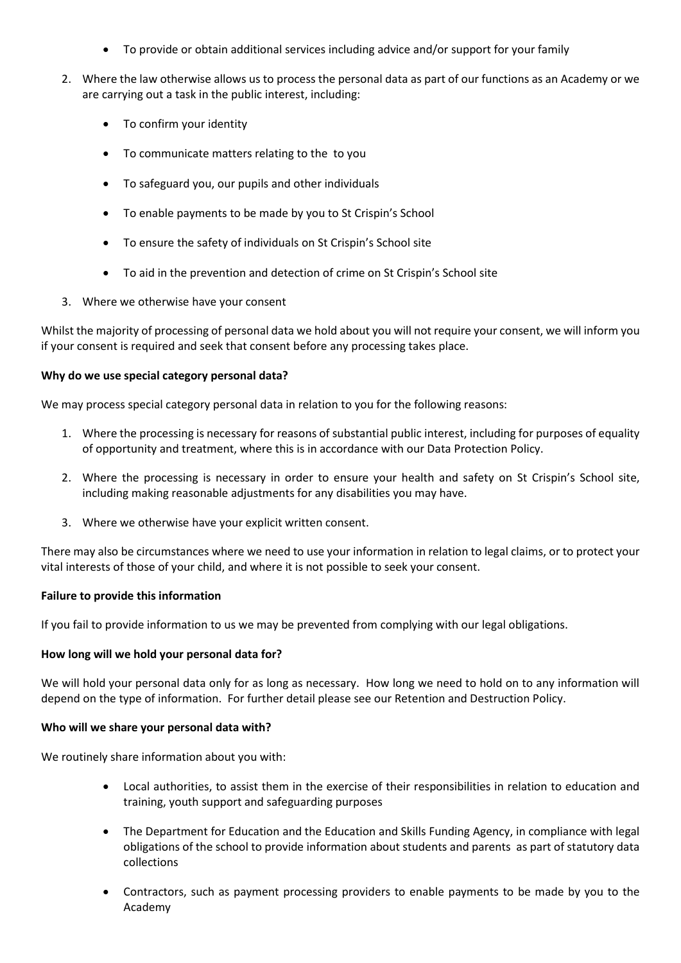- To provide or obtain additional services including advice and/or support for your family
- 2. Where the law otherwise allows us to process the personal data as part of our functions as an Academy or we are carrying out a task in the public interest, including:
	- To confirm your identity
	- To communicate matters relating to the to you
	- To safeguard you, our pupils and other individuals
	- To enable payments to be made by you to St Crispin's School
	- To ensure the safety of individuals on St Crispin's School site
	- To aid in the prevention and detection of crime on St Crispin's School site
- 3. Where we otherwise have your consent

Whilst the majority of processing of personal data we hold about you will not require your consent, we will inform you if your consent is required and seek that consent before any processing takes place.

#### **Why do we use special category personal data?**

We may process special category personal data in relation to you for the following reasons:

- 1. Where the processing is necessary for reasons of substantial public interest, including for purposes of equality of opportunity and treatment, where this is in accordance with our Data Protection Policy.
- 2. Where the processing is necessary in order to ensure your health and safety on St Crispin's School site, including making reasonable adjustments for any disabilities you may have.
- 3. Where we otherwise have your explicit written consent.

There may also be circumstances where we need to use your information in relation to legal claims, or to protect your vital interests of those of your child, and where it is not possible to seek your consent.

#### **Failure to provide this information**

If you fail to provide information to us we may be prevented from complying with our legal obligations.

#### **How long will we hold your personal data for?**

We will hold your personal data only for as long as necessary. How long we need to hold on to any information will depend on the type of information. For further detail please see our Retention and Destruction Policy.

#### **Who will we share your personal data with?**

We routinely share information about you with:

- Local authorities, to assist them in the exercise of their responsibilities in relation to education and training, youth support and safeguarding purposes
- The Department for Education and the Education and Skills Funding Agency, in compliance with legal obligations of the school to provide information about students and parents as part of statutory data collections
- Contractors, such as payment processing providers to enable payments to be made by you to the Academy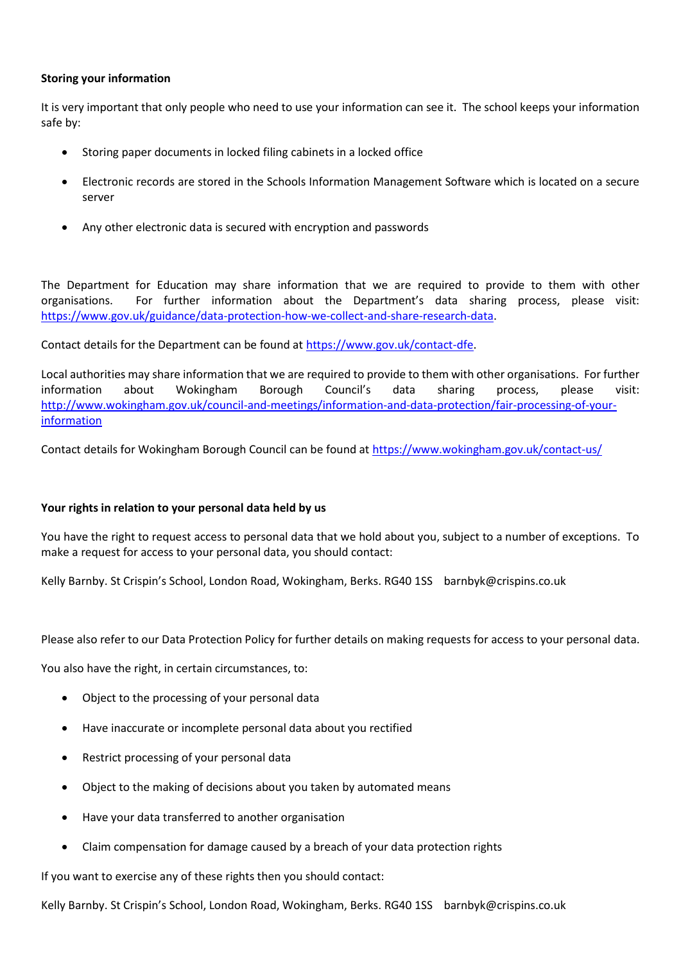## **Storing your information**

It is very important that only people who need to use your information can see it. The school keeps your information safe by:

- Storing paper documents in locked filing cabinets in a locked office
- Electronic records are stored in the Schools Information Management Software which is located on a secure server
- Any other electronic data is secured with encryption and passwords

The Department for Education may share information that we are required to provide to them with other organisations. For further information about the Department's data sharing process, please visit: [https://www.gov.uk/guidance/data-protection-how-we-collect-and-share-research-data.](https://www.gov.uk/guidance/data-protection-how-we-collect-and-share-research-data)

Contact details for the Department can be found a[t https://www.gov.uk/contact-dfe.](https://www.gov.uk/contact-dfe)

Local authorities may share information that we are required to provide to them with other organisations. For further information about Wokingham Borough Council's data sharing process, please visit: [http://www.wokingham.gov.uk/council-and-meetings/information-and-data-protection/fair-processing-of-your](http://www.wokingham.gov.uk/council-and-meetings/information-and-data-protection/fair-processing-of-your-information)[information](http://www.wokingham.gov.uk/council-and-meetings/information-and-data-protection/fair-processing-of-your-information)

Contact details for Wokingham Borough Council can be found a[t https://www.wokingham.gov.uk/contact-us/](https://www.wokingham.gov.uk/contact-us/)

#### **Your rights in relation to your personal data held by us**

You have the right to request access to personal data that we hold about you, subject to a number of exceptions. To make a request for access to your personal data, you should contact:

Kelly Barnby. St Crispin's School, London Road, Wokingham, Berks. RG40 1SS barnbyk@crispins.co.uk

Please also refer to our Data Protection Policy for further details on making requests for access to your personal data.

You also have the right, in certain circumstances, to:

- Object to the processing of your personal data
- Have inaccurate or incomplete personal data about you rectified
- Restrict processing of your personal data
- Object to the making of decisions about you taken by automated means
- Have your data transferred to another organisation
- Claim compensation for damage caused by a breach of your data protection rights

If you want to exercise any of these rights then you should contact:

Kelly Barnby. St Crispin's School, London Road, Wokingham, Berks. RG40 1SS barnbyk@crispins.co.uk